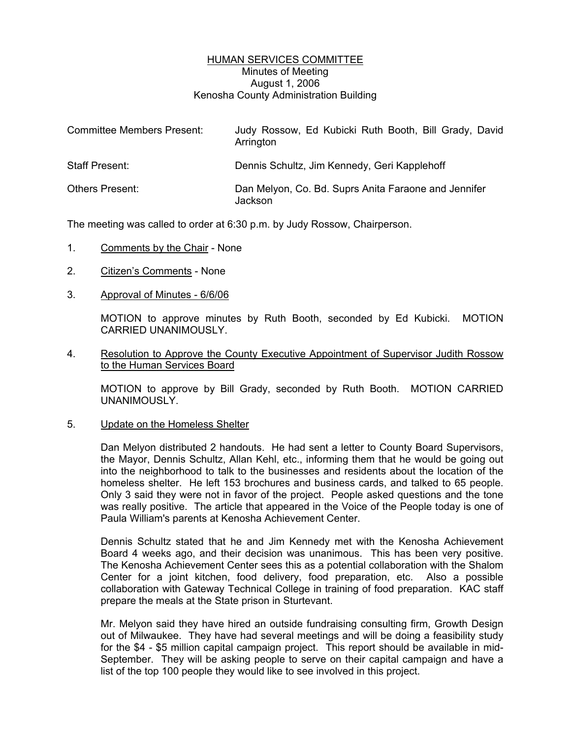## HUMAN SERVICES COMMITTEE Minutes of Meeting August 1, 2006 Kenosha County Administration Building

| <b>Committee Members Present:</b> | Judy Rossow, Ed Kubicki Ruth Booth, Bill Grady, David<br>Arrington |
|-----------------------------------|--------------------------------------------------------------------|
| <b>Staff Present:</b>             | Dennis Schultz, Jim Kennedy, Geri Kapplehoff                       |
| <b>Others Present:</b>            | Dan Melyon, Co. Bd. Suprs Anita Faraone and Jennifer<br>Jackson    |

The meeting was called to order at 6:30 p.m. by Judy Rossow, Chairperson.

- 1. Comments by the Chair None
- 2. Citizen's Comments None
- 3. Approval of Minutes 6/6/06

MOTION to approve minutes by Ruth Booth, seconded by Ed Kubicki. MOTION CARRIED UNANIMOUSLY.

4. Resolution to Approve the County Executive Appointment of Supervisor Judith Rossow to the Human Services Board

MOTION to approve by Bill Grady, seconded by Ruth Booth. MOTION CARRIED UNANIMOUSLY.

5. Update on the Homeless Shelter

Dan Melyon distributed 2 handouts. He had sent a letter to County Board Supervisors, the Mayor, Dennis Schultz, Allan Kehl, etc., informing them that he would be going out into the neighborhood to talk to the businesses and residents about the location of the homeless shelter. He left 153 brochures and business cards, and talked to 65 people. Only 3 said they were not in favor of the project. People asked questions and the tone was really positive. The article that appeared in the Voice of the People today is one of Paula William's parents at Kenosha Achievement Center.

Dennis Schultz stated that he and Jim Kennedy met with the Kenosha Achievement Board 4 weeks ago, and their decision was unanimous. This has been very positive. The Kenosha Achievement Center sees this as a potential collaboration with the Shalom Center for a joint kitchen, food delivery, food preparation, etc. Also a possible collaboration with Gateway Technical College in training of food preparation. KAC staff prepare the meals at the State prison in Sturtevant.

Mr. Melyon said they have hired an outside fundraising consulting firm, Growth Design out of Milwaukee. They have had several meetings and will be doing a feasibility study for the \$4 - \$5 million capital campaign project. This report should be available in mid-September. They will be asking people to serve on their capital campaign and have a list of the top 100 people they would like to see involved in this project.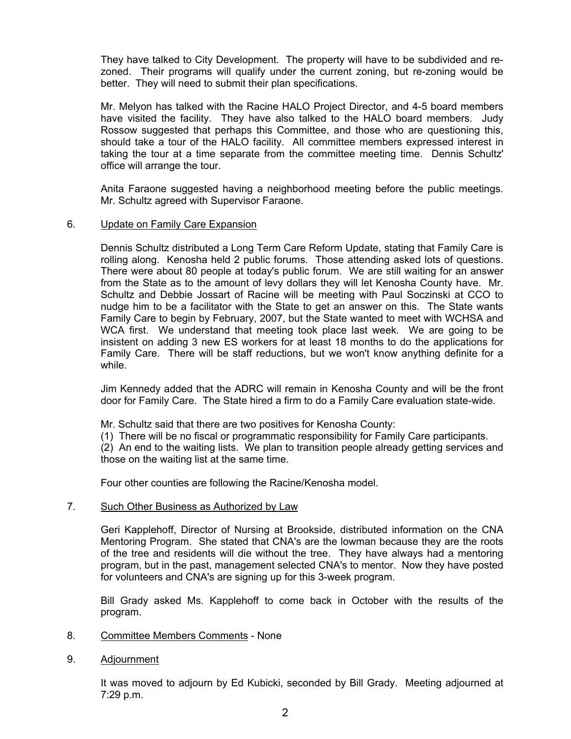They have talked to City Development. The property will have to be subdivided and rezoned. Their programs will qualify under the current zoning, but re-zoning would be better. They will need to submit their plan specifications.

Mr. Melyon has talked with the Racine HALO Project Director, and 4-5 board members have visited the facility. They have also talked to the HALO board members. Judy Rossow suggested that perhaps this Committee, and those who are questioning this, should take a tour of the HALO facility. All committee members expressed interest in taking the tour at a time separate from the committee meeting time. Dennis Schultz' office will arrange the tour.

Anita Faraone suggested having a neighborhood meeting before the public meetings. Mr. Schultz agreed with Supervisor Faraone.

## 6. Update on Family Care Expansion

Dennis Schultz distributed a Long Term Care Reform Update, stating that Family Care is rolling along. Kenosha held 2 public forums. Those attending asked lots of questions. There were about 80 people at today's public forum. We are still waiting for an answer from the State as to the amount of levy dollars they will let Kenosha County have. Mr. Schultz and Debbie Jossart of Racine will be meeting with Paul Soczinski at CCO to nudge him to be a facilitator with the State to get an answer on this. The State wants Family Care to begin by February, 2007, but the State wanted to meet with WCHSA and WCA first. We understand that meeting took place last week. We are going to be insistent on adding 3 new ES workers for at least 18 months to do the applications for Family Care. There will be staff reductions, but we won't know anything definite for a while.

Jim Kennedy added that the ADRC will remain in Kenosha County and will be the front door for Family Care. The State hired a firm to do a Family Care evaluation state-wide.

- Mr. Schultz said that there are two positives for Kenosha County:
- (1) There will be no fiscal or programmatic responsibility for Family Care participants.

(2) An end to the waiting lists. We plan to transition people already getting services and those on the waiting list at the same time.

Four other counties are following the Racine/Kenosha model.

## 7. Such Other Business as Authorized by Law

Geri Kapplehoff, Director of Nursing at Brookside, distributed information on the CNA Mentoring Program. She stated that CNA's are the lowman because they are the roots of the tree and residents will die without the tree. They have always had a mentoring program, but in the past, management selected CNA's to mentor. Now they have posted for volunteers and CNA's are signing up for this 3-week program.

Bill Grady asked Ms. Kapplehoff to come back in October with the results of the program.

- 8. Committee Members Comments None
- 9. Adjournment

It was moved to adjourn by Ed Kubicki, seconded by Bill Grady. Meeting adjourned at 7:29 p.m.